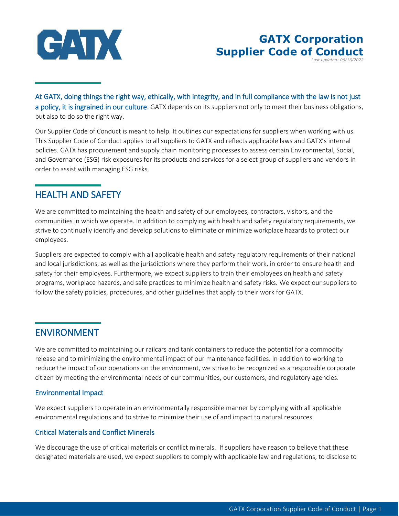

# **GATX Corporation Supplier Code of Conduct**

*Last updated: 06/16/2022*

At GATX, doing things the right way, ethically, with integrity, and in full compliance with the law is not just a policy, it is ingrained in our culture. GATX depends on its suppliers not only to meet their business obligations, but also to do so the right way.

Our Supplier Code of Conduct is meant to help. It outlines our expectations for suppliers when working with us. This Supplier Code of Conduct applies to all suppliers to GATX and reflects applicable laws and GATX's internal policies. GATX has procurement and supply chain monitoring processes to assess certain Environmental, Social, and Governance (ESG) risk exposures for its products and services for a select group of suppliers and vendors in order to assist with managing ESG risks.

## HEALTH AND SAFETY

We are committed to maintaining the health and safety of our employees, contractors, visitors, and the communities in which we operate. In addition to complying with health and safety regulatory requirements, we strive to continually identify and develop solutions to eliminate or minimize workplace hazards to protect our employees.

Suppliers are expected to comply with all applicable health and safety regulatory requirements of their national and local jurisdictions, as well as the jurisdictions where they perform their work, in order to ensure health and safety for their employees. Furthermore, we expect suppliers to train their employees on health and safety programs, workplace hazards, and safe practices to minimize health and safety risks. We expect our suppliers to follow the safety policies, procedures, and other guidelines that apply to their work for GATX.

## ENVIRONMENT

We are committed to maintaining our railcars and tank containers to reduce the potential for a commodity release and to minimizing the environmental impact of our maintenance facilities. In addition to working to reduce the impact of our operations on the environment, we strive to be recognized as a responsible corporate citizen by meeting the environmental needs of our communities, our customers, and regulatory agencies.

### Environmental Impact

We expect suppliers to operate in an environmentally responsible manner by complying with all applicable environmental regulations and to strive to minimize their use of and impact to natural resources.

### Critical Materials and Conflict Minerals

We discourage the use of critical materials or conflict minerals. If suppliers have reason to believe that these designated materials are used, we expect suppliers to comply with applicable law and regulations, to disclose to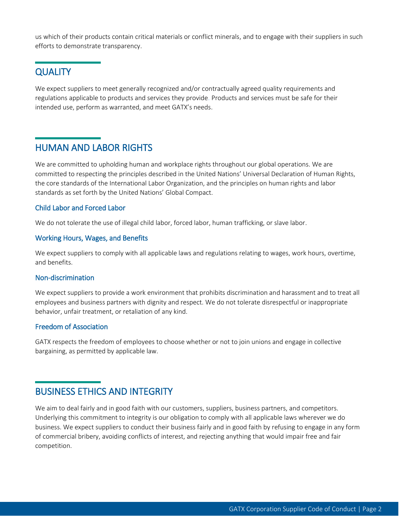us which of their products contain critical materials or conflict minerals, and to engage with their suppliers in such efforts to demonstrate transparency.

### **QUALITY**

We expect suppliers to meet generally recognized and/or contractually agreed quality requirements and regulations applicable to products and services they provide. Products and services must be safe for their intended use, perform as warranted, and meet GATX's needs.

### HUMAN AND LABOR RIGHTS

We are committed to upholding human and workplace rights throughout our global operations. We are committed to respecting the principles described in the United Nations' Universal Declaration of Human Rights, the core standards of the International Labor Organization, and the principles on human rights and labor standards as set forth by the United Nations' Global Compact.

#### Child Labor and Forced Labor

We do not tolerate the use of illegal child labor, forced labor, human trafficking, or slave labor.

#### Working Hours, Wages, and Benefits

We expect suppliers to comply with all applicable laws and regulations relating to wages, work hours, overtime, and benefits.

#### Non-discrimination

We expect suppliers to provide a work environment that prohibits discrimination and harassment and to treat all employees and business partners with dignity and respect. We do not tolerate disrespectful or inappropriate behavior, unfair treatment, or retaliation of any kind.

#### Freedom of Association

GATX respects the freedom of employees to choose whether or not to join unions and engage in collective bargaining, as permitted by applicable law.

### BUSINESS ETHICS AND INTEGRITY

We aim to deal fairly and in good faith with our customers, suppliers, business partners, and competitors. Underlying this commitment to integrity is our obligation to comply with all applicable laws wherever we do business. We expect suppliers to conduct their business fairly and in good faith by refusing to engage in any form of commercial bribery, avoiding conflicts of interest, and rejecting anything that would impair free and fair competition.